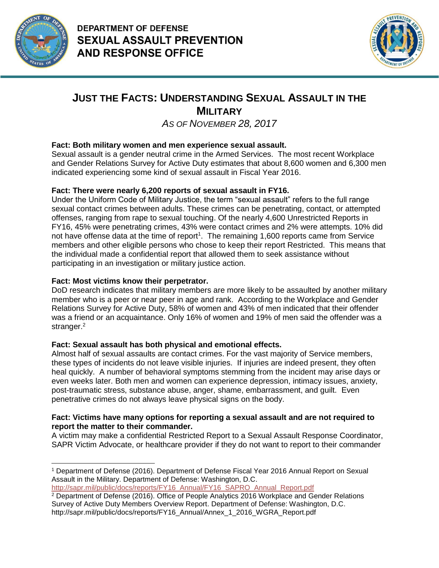



## **JUST THE FACTS: UNDERSTANDING SEXUAL ASSAULT IN THE MILITARY**

# *AS OF NOVEMBER 28, 2017*

## **Fact: Both military women and men experience sexual assault.**

Sexual assault is a gender neutral crime in the Armed Services. The most recent Workplace and Gender Relations Survey for Active Duty estimates that about 8,600 women and 6,300 men indicated experiencing some kind of sexual assault in Fiscal Year 2016.

### **Fact: There were nearly 6,200 reports of sexual assault in FY16.**

Under the Uniform Code of Military Justice, the term "sexual assault" refers to the full range sexual contact crimes between adults. These crimes can be penetrating, contact, or attempted offenses, ranging from rape to sexual touching. Of the nearly 4,600 Unrestricted Reports in FY16, 45% were penetrating crimes, 43% were contact crimes and 2% were attempts. 10% did not have offense data at the time of report<sup>1</sup>. The remaining 1,600 reports came from Service members and other eligible persons who chose to keep their report Restricted. This means that the individual made a confidential report that allowed them to seek assistance without participating in an investigation or military justice action.

#### **Fact: Most victims know their perpetrator.**

DoD research indicates that military members are more likely to be assaulted by another military member who is a peer or near peer in age and rank. According to the Workplace and Gender Relations Survey for Active Duty, 58% of women and 43% of men indicated that their offender was a friend or an acquaintance. Only 16% of women and 19% of men said the offender was a stranger.<sup>2</sup>

## **Fact: Sexual assault has both physical and emotional effects.**

Almost half of sexual assaults are contact crimes. For the vast majority of Service members, these types of incidents do not leave visible injuries. If injuries are indeed present, they often heal quickly. A number of behavioral symptoms stemming from the incident may arise days or even weeks later. Both men and women can experience depression, intimacy issues, anxiety, post-traumatic stress, substance abuse, anger, shame, embarrassment, and guilt. Even penetrative crimes do not always leave physical signs on the body.

#### **Fact: Victims have many options for reporting a sexual assault and are not required to report the matter to their commander.**

A victim may make a confidential Restricted Report to a Sexual Assault Response Coordinator, SAPR Victim Advocate, or healthcare provider if they do not want to report to their commander

 $\overline{a}$ <sup>1</sup> Department of Defense (2016). Department of Defense Fiscal Year 2016 Annual Report on Sexual Assault in the Military. Department of Defense: Washington, D.C. [http://sapr.mil/public/docs/reports/FY16\\_Annual/FY16\\_SAPRO\\_Annual\\_Report.pdf](http://sapr.mil/public/docs/reports/FY16_Annual/FY16_SAPRO_Annual_Report.pdf)

<sup>2</sup> Department of Defense (2016). Office of People Analytics 2016 Workplace and Gender Relations Survey of Active Duty Members Overview Report. Department of Defense: Washington, D.C. http://sapr.mil/public/docs/reports/FY16\_Annual/Annex\_1\_2016\_WGRA\_Report.pdf